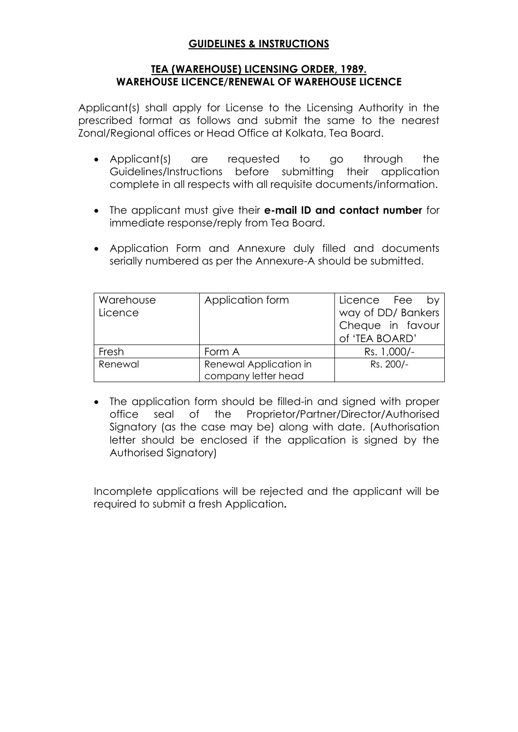# **GUIDELINES & INSTRUCTIONS**

## **TEA (WAREHOUSE) LICENSING ORDER, 1989. WAREHOUSE LICENCE/RENEWAL OF WAREHOUSE LICENCE**

Applicant(s) shall apply for License to the Licensing Authority in the prescribed format as follows and submit the same to the nearest Zonal/Regional offices or Head Office at Kolkata, Tea Board.

- Applicant(s) are requested to go through the Guidelines/Instructions before submitting their application complete in all respects with all requisite documents/information.
- The applicant must give their **e-mail ID and contact number** for immediate response/reply from Tea Board.
- Application Form and Annexure duly filled and documents serially numbered as per the Annexure-A should be submitted.

| Warehouse<br>Licence | Application form                              | Licence Fee<br>bv<br>way of DD/ Bankers<br>Cheque in favour<br>of 'TEA BOARD' |
|----------------------|-----------------------------------------------|-------------------------------------------------------------------------------|
| Fresh                | Form A                                        | Rs. 1,000/-                                                                   |
| Renewal              | Renewal Application in<br>company letter head | Rs. 200/-                                                                     |

 The application form should be filled-in and signed with proper office seal of the Proprietor/Partner/Director/Authorised Signatory (as the case may be) along with date. (Authorisation letter should be enclosed if the application is signed by the Authorised Signatory)

Incomplete applications will be rejected and the applicant will be required to submit a fresh Application**.**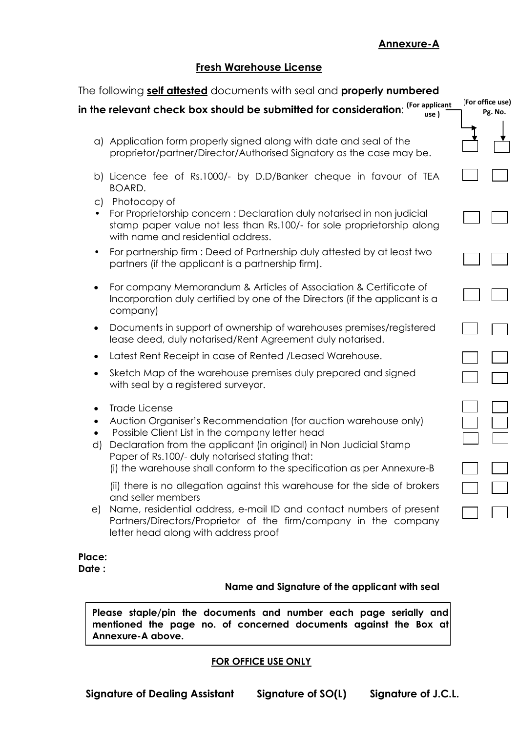# **Annexure-A**

## **Fresh Warehouse License**

| The following self attested documents with seal and properly numbered |                                                                                                                                                                                                                                                                                                                                       |  |                             |  |  |
|-----------------------------------------------------------------------|---------------------------------------------------------------------------------------------------------------------------------------------------------------------------------------------------------------------------------------------------------------------------------------------------------------------------------------|--|-----------------------------|--|--|
|                                                                       | (For applicant<br>in the relevant check box should be submitted for consideration:<br>use)                                                                                                                                                                                                                                            |  | (For office use)<br>Pg. No. |  |  |
|                                                                       | a) Application form properly signed along with date and seal of the<br>proprietor/partner/Director/Authorised Signatory as the case may be.                                                                                                                                                                                           |  |                             |  |  |
|                                                                       | b) Licence fee of Rs.1000/- by D.D/Banker cheque in favour of TEA<br>BOARD.                                                                                                                                                                                                                                                           |  |                             |  |  |
| $\circ$ )<br>$\bullet$                                                | Photocopy of<br>For Proprietorship concern : Declaration duly notarised in non judicial<br>stamp paper value not less than Rs.100/- for sole proprietorship along<br>with name and residential address.                                                                                                                               |  |                             |  |  |
| $\bullet$                                                             | For partnership firm : Deed of Partnership duly attested by at least two<br>partners (if the applicant is a partnership firm).                                                                                                                                                                                                        |  |                             |  |  |
| ٠                                                                     | For company Memorandum & Articles of Association & Certificate of<br>Incorporation duly certified by one of the Directors (if the applicant is a<br>company)                                                                                                                                                                          |  |                             |  |  |
| $\bullet$                                                             | Documents in support of ownership of warehouses premises/registered<br>lease deed, duly notarised/Rent Agreement duly notarised.                                                                                                                                                                                                      |  |                             |  |  |
|                                                                       | Latest Rent Receipt in case of Rented / Leased Warehouse.                                                                                                                                                                                                                                                                             |  |                             |  |  |
|                                                                       | Sketch Map of the warehouse premises duly prepared and signed<br>with seal by a registered surveyor.                                                                                                                                                                                                                                  |  |                             |  |  |
| d)                                                                    | Trade License<br>Auction Organiser's Recommendation (for auction warehouse only)<br>Possible Client List in the company letter head<br>Declaration from the applicant (in original) in Non Judicial Stamp<br>Paper of Rs.100/- duly notarised stating that:<br>(i) the warehouse shall conform to the specification as per Annexure-B |  |                             |  |  |
| e)                                                                    | (ii) there is no allegation against this warehouse for the side of brokers<br>and seller members<br>Name, residential address, e-mail ID and contact numbers of present<br>Partners/Directors/Proprietor of the firm/company in the company<br>letter head along with address proof                                                   |  |                             |  |  |
| Place:                                                                |                                                                                                                                                                                                                                                                                                                                       |  |                             |  |  |

**Date :**

### **Name and Signature of the applicant with seal**

**Please staple/pin the documents and number each page serially and**  mentioned the page no. of concerned documents against the Box at **Annexure-A above.**

## **FOR OFFICE USE ONLY**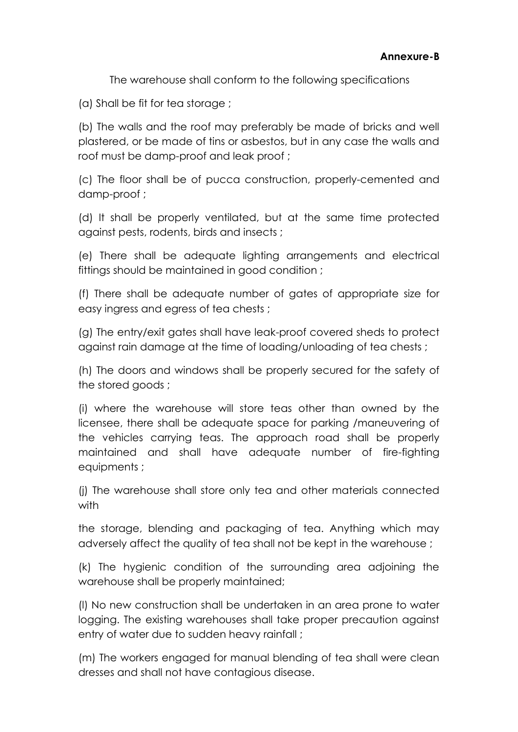The warehouse shall conform to the following specifications

(a) Shall be fit for tea storage ;

(b) The walls and the roof may preferably be made of bricks and well plastered, or be made of tins or asbestos, but in any case the walls and roof must be damp-proof and leak proof ;

(c) The floor shall be of pucca construction, properly-cemented and damp-proof ;

(d) It shall be properly ventilated, but at the same time protected against pests, rodents, birds and insects ;

(e) There shall be adequate lighting arrangements and electrical fittings should be maintained in good condition ;

(f) There shall be adequate number of gates of appropriate size for easy ingress and egress of tea chests ;

(g) The entry/exit gates shall have leak-proof covered sheds to protect against rain damage at the time of loading/unloading of tea chests ;

(h) The doors and windows shall be properly secured for the safety of the stored goods ;

(i) where the warehouse will store teas other than owned by the licensee, there shall be adequate space for parking /maneuvering of the vehicles carrying teas. The approach road shall be properly maintained and shall have adequate number of fire-fighting equipments ;

(j) The warehouse shall store only tea and other materials connected with

the storage, blending and packaging of tea. Anything which may adversely affect the quality of tea shall not be kept in the warehouse ;

(k) The hygienic condition of the surrounding area adjoining the warehouse shall be properly maintained;

(l) No new construction shall be undertaken in an area prone to water logging. The existing warehouses shall take proper precaution against entry of water due to sudden heavy rainfall ;

(m) The workers engaged for manual blending of tea shall were clean dresses and shall not have contagious disease.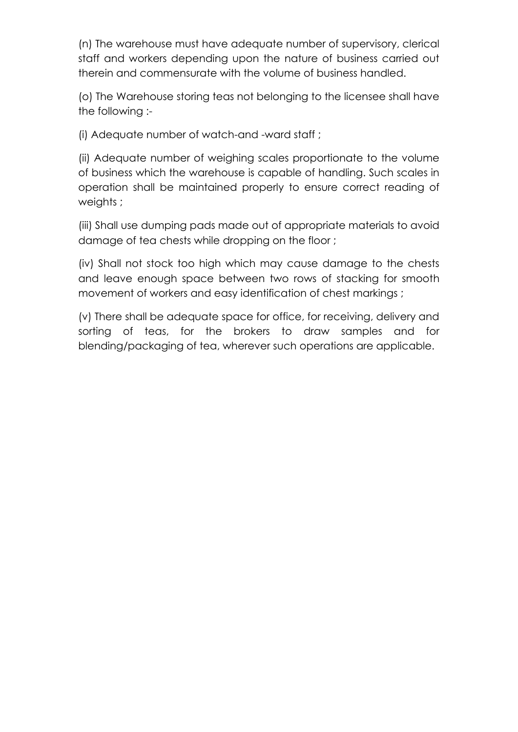(n) The warehouse must have adequate number of supervisory, clerical staff and workers depending upon the nature of business carried out therein and commensurate with the volume of business handled.

(o) The Warehouse storing teas not belonging to the licensee shall have the following :-

(i) Adequate number of watch-and -ward staff ;

(ii) Adequate number of weighing scales proportionate to the volume of business which the warehouse is capable of handling. Such scales in operation shall be maintained properly to ensure correct reading of weights ;

(iii) Shall use dumping pads made out of appropriate materials to avoid damage of tea chests while dropping on the floor ;

(iv) Shall not stock too high which may cause damage to the chests and leave enough space between two rows of stacking for smooth movement of workers and easy identification of chest markings ;

(v) There shall be adequate space for office, for receiving, delivery and sorting of teas, for the brokers to draw samples and for blending/packaging of tea, wherever such operations are applicable.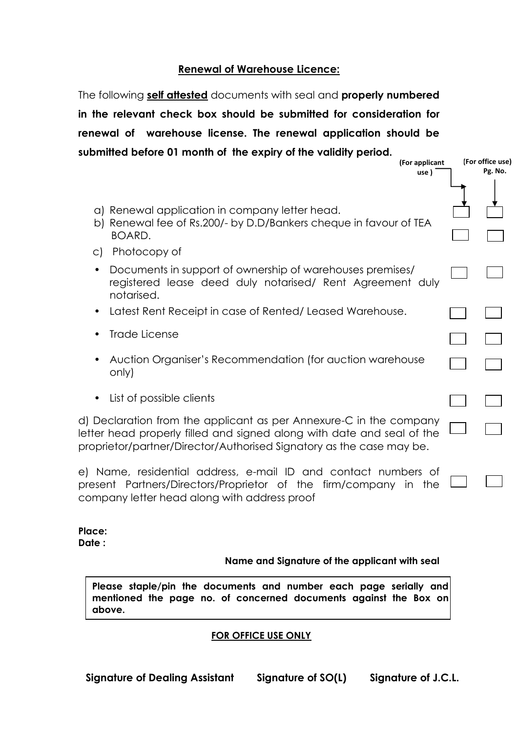## **Renewal of Warehouse Licence:**

The following **self attested** documents with seal and **properly numbered in the relevant check box should be submitted for consideration for renewal of warehouse license. The renewal application should be submitted before 01 month of the expiry of the validity period.**

- a) Renewal application in company letter head.
- b) Renewal fee of Rs.200/- by D.D/Bankers cheque in favour of TEA BOARD.
- c) Photocopy of
- Documents in support of ownership of warehouses premises/ registered lease deed duly notarised/ Rent Agreement duly notarised.
- Latest Rent Receipt in case of Rented/ Leased Warehouse.
- Trade License
- Auction Organiser's Recommendation (for auction warehouse only)
- List of possible clients

d) Declaration from the applicant as per Annexure-C in the company letter head properly filled and signed along with date and seal of the proprietor/partner/Director/Authorised Signatory as the case may be.

e) Name, residential address, e-mail ID and contact numbers of present Partners/Directors/Proprietor of the firm/company in the company letter head along with address proof

**Place: Date :**

#### **Name and Signature of the applicant with seal**

**Please staple/pin the documents and number each page serially and mentioned the page no. of concerned documents against the Box on above.**

## **FOR OFFICE USE ONLY**

**(For office use) Pg. No.**

**(For applicant use )**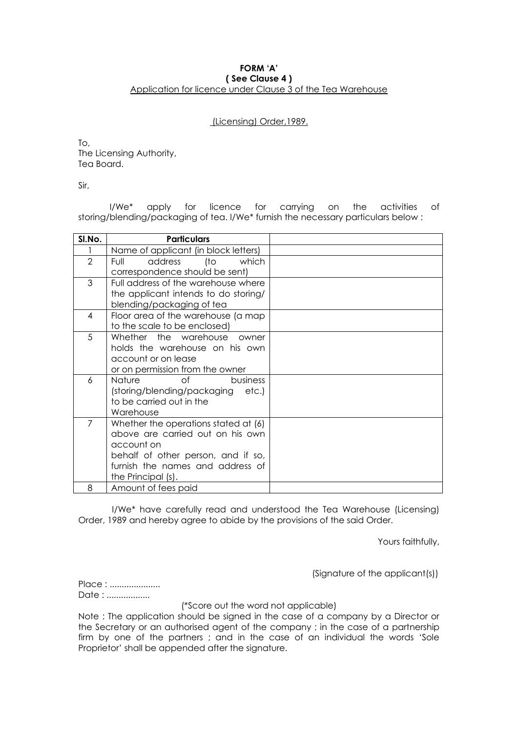#### **FORM 'A' ( See Clause 4 )** Application for licence under Clause 3 of the Tea Warehouse

#### (Licensing) Order,1989.

To, The Licensing Authority, Tea Board.

Sir,

I/We\* apply for licence for carrying on the activities of storing/blending/packaging of tea. I/We\* furnish the necessary particulars below :

| SI.No.         | <b>Particulars</b>                   |  |
|----------------|--------------------------------------|--|
|                | Name of applicant (in block letters) |  |
| $\overline{2}$ | address<br>which<br>(to<br>Full      |  |
|                | correspondence should be sent)       |  |
| 3              | Full address of the warehouse where  |  |
|                | the applicant intends to do storing/ |  |
|                | blending/packaging of tea            |  |
| 4              | Floor area of the warehouse (a map   |  |
|                | to the scale to be enclosed)         |  |
| 5              | Whether the warehouse owner          |  |
|                | holds the warehouse on his own       |  |
|                | account or on lease                  |  |
|                | or on permission from the owner      |  |
| 6              | Nature<br>of<br>business             |  |
|                | (storing/blending/packaging etc.)    |  |
|                | to be carried out in the             |  |
|                | Warehouse                            |  |
| 7              | Whether the operations stated at (6) |  |
|                | above are carried out on his own     |  |
|                | account on                           |  |
|                | behalf of other person, and if so,   |  |
|                | furnish the names and address of     |  |
|                | the Principal (s).                   |  |
| 8              | Amount of fees paid                  |  |

I/We\* have carefully read and understood the Tea Warehouse (Licensing) Order, 1989 and hereby agree to abide by the provisions of the said Order.

Yours faithfully,

(Signature of the applicant(s))

Place : ...................... Date : ..................

(\*Score out the word not applicable)

Note : The application should be signed in the case of a company by a Director or the Secretary or an authorised agent of the company ; in the case of a partnership firm by one of the partners ; and in the case of an individual the words 'Sole Proprietor' shall be appended after the signature.